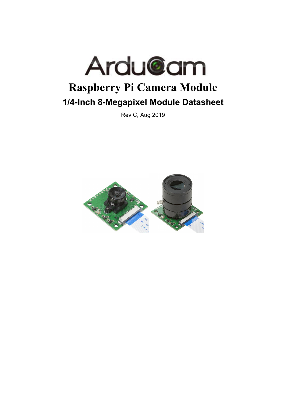

Rev C, Aug 2019

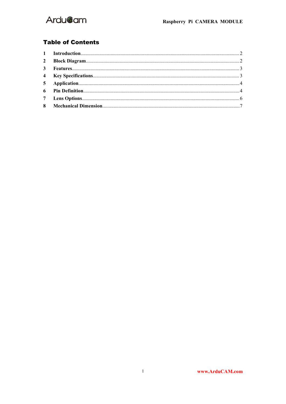

#### **Table of Contents**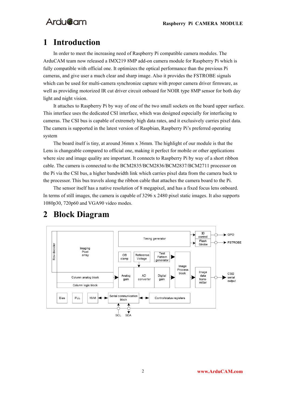### <span id="page-2-0"></span>**1 Introduction**

In order to meet the increasing need of Raspberry Pi compatible camera modules. The ArduCAM team now released a IMX219 8MP add-on camera module for Raspberry Pi which is fully compatible with official one. It optimizes the optical performance than the previous Pi cameras, and give user a much clear and sharp image. Also it provides the FSTROBE signals which can be used for multi-camera synchronize capture with proper camera driver firmware, as well as providing motorized IR cut driver circuit onboard for NOIR type 8MP sensor for both day light and night vision.

It attaches to Raspberry Pi by way of one of the two small sockets on the board upper surface. This interface uses the dedicated CSI interface, which was designed especially for interfacing to cameras. The CSI bus is capable of extremely high data rates, and it exclusively carries pixel data. The camera is supported in the latest version of Raspbian, Raspberry Pi's preferred operating system

The board itself is tiny, at around 36mm x 36mm. The highlight of our module is that the Lens is changeable compared to official one, making it perfect for mobile or other applications where size and image quality are important. It connects to Raspberry Pi by way of a short ribbon cable. The camera is connected to the BCM2835/BCM2836/BCM2837/BCM2711 processor on the Pi via the CSI bus, a higher bandwidth link which carries pixel data from the camera back to the processor. This bus travels along the ribbon cable that attaches the camera board to the Pi.

The sensor itself has a native resolution of 8 megapixel, and has a fixed focus lens onboard. In terms of still images, the camera is capable of  $3296 \times 2480$  pixel static images. It also supports 1080p30, 720p60 and VGA90 video modes.

<span id="page-2-2"></span>

### <span id="page-2-1"></span>**2 Block Diagram**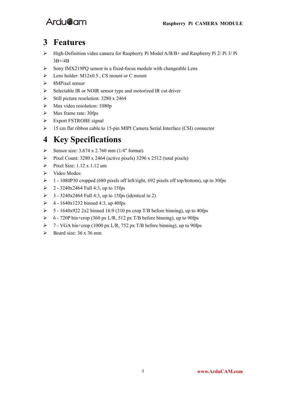

### **3 Features**

- High-Definition video camera for Raspberry Pi Model A/B/B+ and Raspberry Pi 2/ Pi 3/Pi 3B+/4B
- $\triangleright$  Sony IMX219PQ sensor in a fixed-focus module with changeable Lens
- Eens holder:  $M12x0.5$ , CS mount or C mount
- $\triangleright$  8MPixel sensor
- $\triangleright$  Selectable IR or NOIR sensor type and motorized IR cut driver
- $\triangleright$  Still picture resolution: 3280 x 2464
- $\triangleright$  Max video resolution: 1080p
- $\triangleright$  Max frame rate: 30fps
- > Export FSTROBE signal
- > 15 cm flat ribbon cable to 15-pin MIPI Camera Serial Interface (CSI) connector

### <span id="page-3-0"></span>**4 Key Specifications**

- Sensor size:  $3.674 \times 2.760$  mm (1/4" format)
- Pixel Count:  $3280 \times 2464$  (active pixels)  $3296 \times 2512$  (total pixels)
- $\triangleright$  Pixel Size: 1.12 x 1.12 um
- $\triangleright$  Video Modes:
- 1 1080P30 cropped (680 pixels off left/right, 692 pixels off top/bottom), up to 30fps
- $\geq 2 3240x2464$  Full 4:3, up to 15fps
- $\geq$  3 3240x2464 Full 4:3, up to 15fps (identical to 2)
- $\geq 4 1640x1232$  binned 4:3, up 40fps
- $\geq 5 1640x9222x2$  binned 16:9 (310 px crop T/B before binning), up to 40fps
- $\geq 6$  720P bin+crop (360 px L/R, 512 px T/B before binning), up to 90fps
- $\triangleright$  7 VGA bin+crop (1000 px L/R, 752 px T/B before binning), up to 90fps
- $\triangleright$  Board size: 36 x 36 mm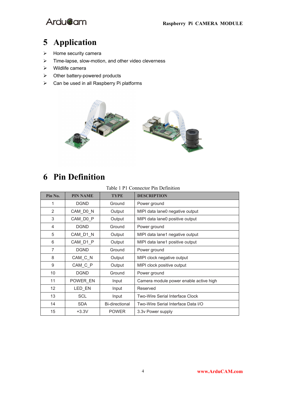

# <span id="page-4-0"></span>**Application**

- $\triangleright$  Home security camera
- $\triangleright$  Time-lapse, slow-motion, and other video cleverness
- $\triangleright$  Wildlife camera
- $\triangleright$  Other battery-powered products
- $\triangleright$  Can be used in all Raspberry Pi platforms



# <span id="page-4-1"></span>**Pin Definition**

Table 1 P1 Connector Pin Definition

| Pin No.           | <b>PIN NAME</b>                                             | <b>TYPE</b>                               | <b>DESCRIPTION</b>                 |  |
|-------------------|-------------------------------------------------------------|-------------------------------------------|------------------------------------|--|
| 1                 | <b>DGND</b>                                                 | Ground                                    | Power ground                       |  |
| 2                 | CAM_D0_N                                                    | Output                                    | MIPI data lane0 negative output    |  |
| 3                 | CAM DO P                                                    | Output                                    | MIPI data lane0 positive output    |  |
| 4                 | <b>DGND</b>                                                 | Ground                                    | Power ground                       |  |
| 5                 | CAM_D1_N<br>MIPI data lane1 negative output<br>Output       |                                           |                                    |  |
| 6                 | CAM D1 P                                                    | MIPI data lane1 positive output<br>Output |                                    |  |
| 7                 | <b>DGND</b>                                                 | Ground                                    | Power ground                       |  |
| 8                 | CAM_C_N                                                     | Output                                    | MIPI clock negative output         |  |
| 9                 | CAM C P                                                     | Output                                    | MIPI clock positive output         |  |
| 10 <sup>°</sup>   | <b>DGND</b><br>Ground<br>Power ground                       |                                           |                                    |  |
| 11                | POWER EN<br>Camera module power enable active high<br>Input |                                           |                                    |  |
| $12 \overline{ }$ | LED EN                                                      | Input                                     | Reserved                           |  |
| 13                | <b>SCL</b>                                                  | Input                                     | Two-Wire Serial Interface Clock    |  |
| 14                | <b>SDA</b>                                                  | Bi-directional                            | Two-Wire Serial Interface Data I/O |  |
| 15                | $+3.3V$                                                     | <b>POWER</b>                              | 3.3v Power supply                  |  |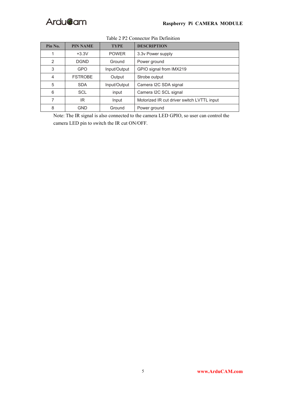

| Pin No.                                                    | <b>PIN NAME</b>                                     | <b>TYPE</b>                                         | <b>DESCRIPTION</b>    |  |
|------------------------------------------------------------|-----------------------------------------------------|-----------------------------------------------------|-----------------------|--|
|                                                            | $+3.3V$                                             | <b>POWER</b>                                        | 3.3v Power supply     |  |
| 2                                                          | <b>DGND</b>                                         | Ground<br>Power ground                              |                       |  |
| 3<br>GPIO signal from IMX219<br><b>GPO</b><br>Input/Output |                                                     |                                                     |                       |  |
| 4                                                          | <b>FSTROBE</b>                                      | Output                                              | Strobe output         |  |
| 5                                                          | Camera I2C SDA signal<br><b>SDA</b><br>Input/Output |                                                     |                       |  |
| 6<br><b>SCL</b>                                            |                                                     | input                                               | Camera I2C SCL signal |  |
| 7                                                          | IR                                                  | Motorized IR cut driver switch LVTTL input<br>Input |                       |  |
| 8                                                          | <b>GND</b>                                          | Ground                                              | Power ground          |  |

#### Table 2 P2 Connector Pin Definition

Note: The IR signal is also connected to the camera LED GPIO, so user can control the camera LED pin to switch the IR cut ON/OFF.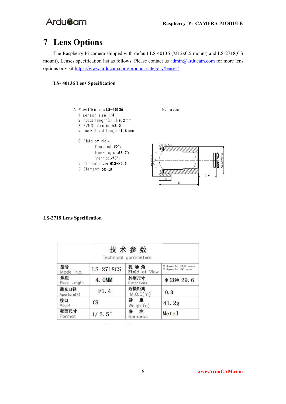## <span id="page-6-0"></span>**7 Lens Options**

The Raspberry Pi camera shipped with default LS-40136 (M12x0.5 mount) and LS-2718(CS mount), Lenses specification list as follows. Please contact us  $\frac{\text{admin}(\partial \text{arducam.com}}{\text{arducam.com}}$  for more lens options or visit <https://www.arducam.com/product-category/lenses/>

#### **LS- 40136 Lens Specification**



2. focal length(EFL): 3. 2 mm

- 3. F/NO(infinition): 2.0
- 4. back focal length: 1.6 mm





#### **LS-2718 Lens Specification**

|                     |               | 技术参数<br>Technical parameters |                                                          |
|---------------------|---------------|------------------------------|----------------------------------------------------------|
| 型号<br>Model No.     | LS-2718CS     | 视场角<br>Field of View         | 93 degree for 1/2.5" sensor<br>58 degree for 1/4" sensor |
| 焦距<br>Focal Length  | 4.0MM         | 外型尺寸<br>Dimensions           | $\Phi$ 28* 29.6                                          |
| 通光口径<br>Aperture(F) | F1.4          | 近摄距离<br>M.0.D(m)             | 0.3                                                      |
| 接口<br>Mount         | $\mathbb{C}S$ | 净 重<br>Weight(q)             | 41.2g                                                    |
| 靶面尺寸<br>Format      | 1/2.5''       | 注<br>Remarks                 | Metal                                                    |